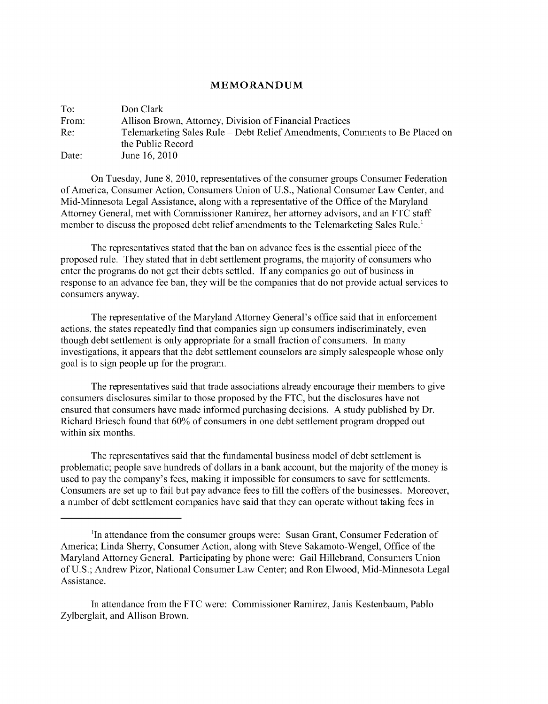## **MEMORANDUM**

| To:   | Don Clark                                                                   |
|-------|-----------------------------------------------------------------------------|
| From: | Allison Brown, Attorney, Division of Financial Practices                    |
| Re:   | Telemarketing Sales Rule – Debt Relief Amendments, Comments to Be Placed on |
|       | the Public Record                                                           |
| Date: | June 16, 2010                                                               |

On Tuesday, June 8, 2010, representatives of the consumer groups Consumer Federation of America, Consumer Action, Consumers Union of U.S., National Consumer Law Center, and Mid-Minnesota Legal Assistance, along with a representative of the Office of the Maryland Attorney General, met with Commissioner Ramirez, her attorney advisors, and an FTC staff member to discuss the proposed debt relief amendments to the Telemarketing Sales Rule.'

The representatives stated that the ban on advance fees is the essential piece of the proposed rule. They stated that in debt settlement programs, the majority of consumers who enter the programs do not get their debts settled. If any companies go out of business in response to an advance fee ban, they will be the companies that do not provide actual services to consumers anyway.

The representative of the Maryland Attorney General's office said that in enforcement actions, the states repeatedly find that companies sign up consumers indiscriminately, even though debt settlement is only appropriate for a small fraction of consumers. In many investigations, it appears that the debt settlement counselors are simply salespeople whose only goal is to sign people up for the program.

The representatives said that trade associations already encourage their members to give consumers disclosures similar to those proposed by the FTC, but the disclosures have not ensured that consumers have made informed purchasing decisions. A study published by Dr. Richard Briesch found that 60% of consumers in one debt settlement program dropped out within six months.

The representatives said that the fundamental business model of debt settlement is problematic; people save hundreds of dollars in a bank account, but the majority of the money is used to pay the company's fees, making it impossible for consumers to save for settlements. Consumers are set up to fail but pay advance fees to fill the coffers of the businesses. Moreover, a number of debt settlement companies have said that they can operate without taking fees in

<sup>&#</sup>x27;In attendance from the consumer groups were: Susan Grant, Consumer Federation of America; Linda Sherry, Consumer Action, along with Steve Sakamoto-Wengel, Office of the Maryland Attorney General. Participating by phone were: Gail Hillebrand, Consumers Union of U.S.; Andrew Pizor, National Consumer Law Center; and Ron Elwood, Mid-Minnesota Legal Assistance.

In attendance from the FTC were: Commissioner Ramirez, Janis Kestenbaum, Pablo Zylberglait, and Allison Brown.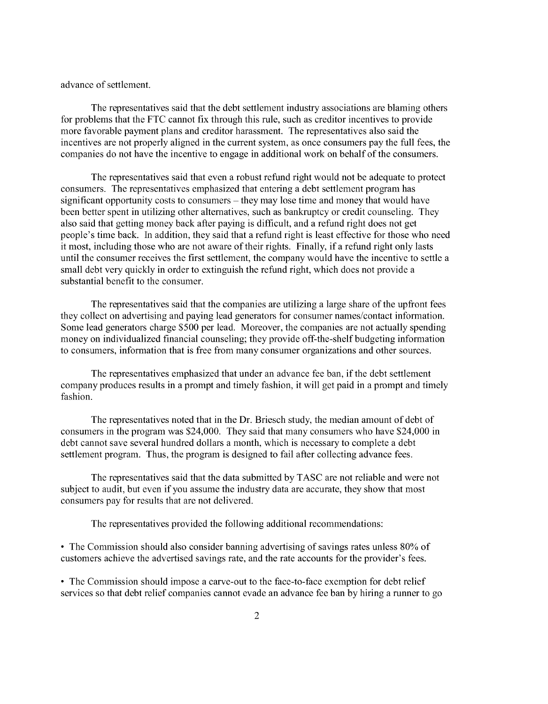advance of settlement.

The representatives said that the debt settlement industry associations are blaming others for problems that the **FTC** cannot fix through this rule, such as creditor incentives to provide more favorable payment plans and creditor harassment. The representatives also said the incentives are not properly aligned in the current system, as once consumers pay the full fees, the companies do not have the incentive to engage in additional work on behalf of the consumers.

The representatives said that even a robust refund right would not be adequate to protect consumers. The representatives emphasized that entering a debt settlement program has significant opportunity costs to consumers — they may lose time and money that would have been better spent in utilizing other alternatives, such as bankruptcy or credit counseling. They also said that getting money back after paying is difficult, and a refund right does not get people's time back. In addition, they said that a refund right is least effective for those who need it most, including those who are not aware of their rights. Finally, if a refund right only lasts until the consumer receives the first settlement, the company would have the incentive to settle a small debt very quickly in order to extinguish the refund right, which does not provide a substantial benefit to the consumer.

The representatives said that the companies are utilizing a large share of the upfront fees they collect on advertising and paying lead generators for consumer names/contact information. Some lead generators charge \$500 per lead. Moreover, the companies are not actually spending money on individualized financial counseling; they provide off-the-shelf budgeting information to consumers, information that is free from many consumer organizations and other sources.

The representatives emphasized that under an advance fee ban, if the debt settlement company produces results in a prompt and timely fashion, it will get paid in a prompt and timely fashion.

The representatives noted that in the Dr. Briesch study, the median amount of debt of consumers in the program was \$24,000. They said that many consumers who have \$24,000 in debt cannot save several hundred dollars a month, which is necessary to complete a debt settlement program. Thus, the program is designed to fail after collecting advance fees.

The representatives said that the data submitted by TASC are not reliable and were not subject to audit, but even if you assume the industry data are accurate, they show that most consumers pay for results that are not delivered.

The representatives provided the following additional recommendations:

**•** The Commission should also consider banning advertising of savings rates unless 80% of customers achieve the advertised savings rate, and the rate accounts for the provider's fees.

**•** The Commission should impose a carve-out to the face-to-face exemption for debt relief services so that debt relief companies cannot evade an advance fee ban by hiring a runner to go